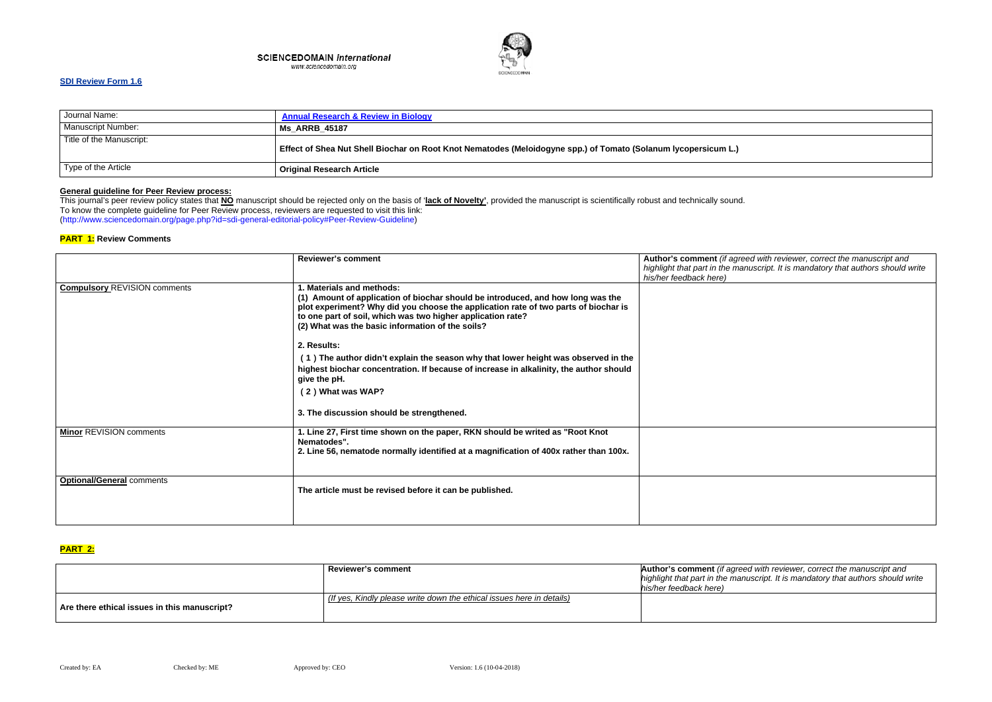#### **SCIENCEDOMAIN international** www.sciencedomain.org



# **SDI Review Form 1.6**

| Journal Name:             | <b>Annual Research &amp; Review in Biology</b>                                                                 |
|---------------------------|----------------------------------------------------------------------------------------------------------------|
| <b>Manuscript Number:</b> | <b>Ms ARRB 45187</b>                                                                                           |
| Title of the Manuscript:  | Effect of Shea Nut Shell Biochar on Root Knot Nematodes (Meloidogyne spp.) of Tomato (Solanum lycopersicum L.) |
| Type of the Article       | <b>Original Research Article</b>                                                                               |

## **General guideline for Peer Review process:**

*(i) and with reviewer, correct the manuscript and highlight that part in the manuscript. It is mandatory that authors should write* 

This journal's peer review policy states that **NO** manuscript should be rejected only on the basis of '**lack of Novelty'**, provided the manuscript is scientifically robust and technically sound. To know the complete guideline for Peer Review process, reviewers are requested to visit this link: (http://www.sciencedomain.org/page.php?id=sdi-general-editorial-policy#Peer-Review-Guideline)

### **PART 1: Review Comments**

|                                     | <b>Reviewer's comment</b>                                                                                                                                                                                                                                                                                              | Author's comment (if agree<br>highlight that part in the mar<br>his/her feedback here) |
|-------------------------------------|------------------------------------------------------------------------------------------------------------------------------------------------------------------------------------------------------------------------------------------------------------------------------------------------------------------------|----------------------------------------------------------------------------------------|
| <b>Compulsory REVISION comments</b> | 1. Materials and methods:<br>(1) Amount of application of biochar should be introduced, and how long was the<br>plot experiment? Why did you choose the application rate of two parts of biochar is<br>to one part of soil, which was two higher application rate?<br>(2) What was the basic information of the soils? |                                                                                        |
|                                     | 2. Results:<br>(1) The author didn't explain the season why that lower height was observed in the<br>highest biochar concentration. If because of increase in alkalinity, the author should<br>give the pH.<br>(2) What was WAP?<br>3. The discussion should be strengthened.                                          |                                                                                        |
| <b>Minor REVISION comments</b>      | 1. Line 27, First time shown on the paper, RKN should be writed as "Root Knot"<br>Nematodes".<br>2. Line 56, nematode normally identified at a magnification of 400x rather than 100x.                                                                                                                                 |                                                                                        |
| <b>Optional/General comments</b>    | The article must be revised before it can be published.                                                                                                                                                                                                                                                                |                                                                                        |

## **PART 2:**

 *(if agreed with reviewer, correct the manuscript and highlight that part in the manuscript. It is mandatory that authors should write* 

|                                              | <b>Reviewer's comment</b>                                             | Author's comment (if agreed<br>highlight that part in the manu<br>his/her feedback here) |
|----------------------------------------------|-----------------------------------------------------------------------|------------------------------------------------------------------------------------------|
| Are there ethical issues in this manuscript? | (If yes, Kindly please write down the ethical issues here in details) |                                                                                          |